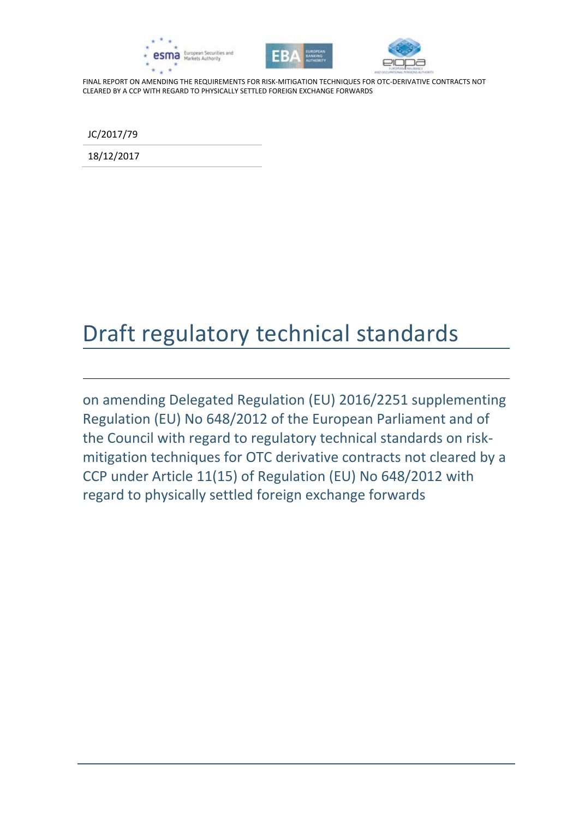





JC/2017/79

18/12/2017

# Draft regulatory technical standards

on amending Delegated Regulation (EU) 2016/2251 supplementing Regulation (EU) No 648/2012 of the European Parliament and of the Council with regard to regulatory technical standards on riskmitigation techniques for OTC derivative contracts not cleared by a CCP under Article 11(15) of Regulation (EU) No 648/2012 with regard to physically settled foreign exchange forwards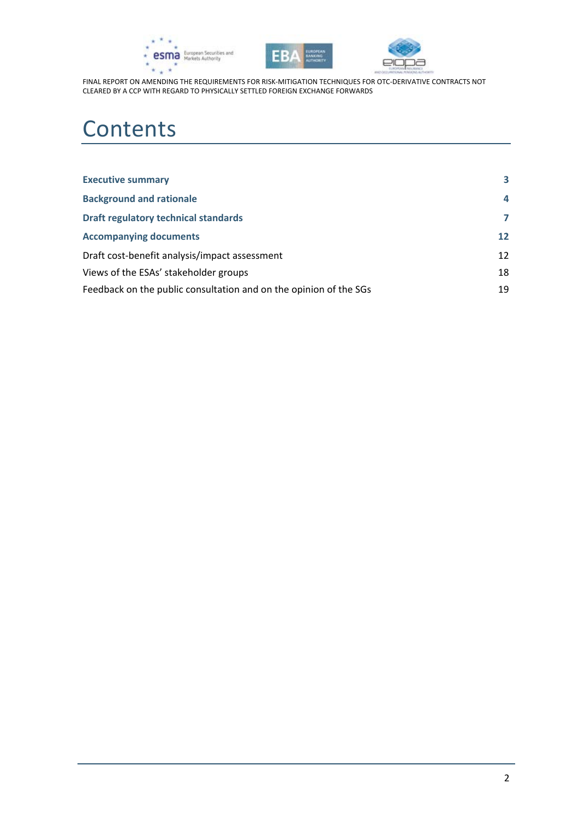





# **Contents**

| <b>Executive summary</b>                                          | 3                 |
|-------------------------------------------------------------------|-------------------|
| <b>Background and rationale</b>                                   | 4                 |
| <b>Draft regulatory technical standards</b>                       | $\overline{7}$    |
| <b>Accompanying documents</b>                                     | $12 \overline{ }$ |
| Draft cost-benefit analysis/impact assessment                     | $12 \overline{ }$ |
| Views of the ESAs' stakeholder groups                             | 18                |
| Feedback on the public consultation and on the opinion of the SGs | 19                |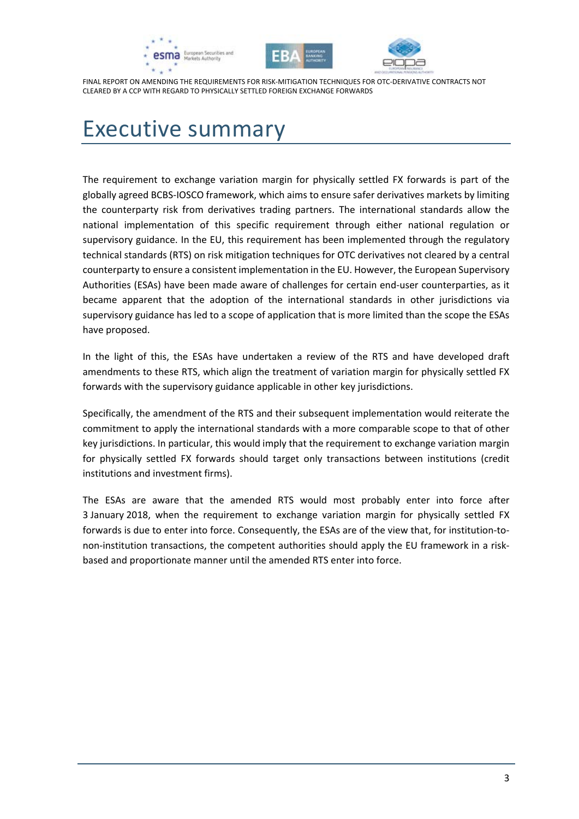





# <span id="page-2-0"></span>Executive summary

The requirement to exchange variation margin for physically settled FX forwards is part of the globally agreed BCBS-IOSCO framework, which aims to ensure safer derivatives markets by limiting the counterparty risk from derivatives trading partners. The international standards allow the national implementation of this specific requirement through either national regulation or supervisory guidance. In the EU, this requirement has been implemented through the regulatory technical standards (RTS) on risk mitigation techniques for OTC derivatives not cleared by a central counterparty to ensure a consistent implementation in the EU. However, the European Supervisory Authorities (ESAs) have been made aware of challenges for certain end-user counterparties, as it became apparent that the adoption of the international standards in other jurisdictions via supervisory guidance has led to a scope of application that is more limited than the scope the ESAs have proposed.

In the light of this, the ESAs have undertaken a review of the RTS and have developed draft amendments to these RTS, which align the treatment of variation margin for physically settled FX forwards with the supervisory guidance applicable in other key jurisdictions.

Specifically, the amendment of the RTS and their subsequent implementation would reiterate the commitment to apply the international standards with a more comparable scope to that of other key jurisdictions. In particular, this would imply that the requirement to exchange variation margin for physically settled FX forwards should target only transactions between institutions (credit institutions and investment firms).

The ESAs are aware that the amended RTS would most probably enter into force after 3 January 2018, when the requirement to exchange variation margin for physically settled FX forwards is due to enter into force. Consequently, the ESAs are of the view that, for institution-tonon-institution transactions, the competent authorities should apply the EU framework in a riskbased and proportionate manner until the amended RTS enter into force.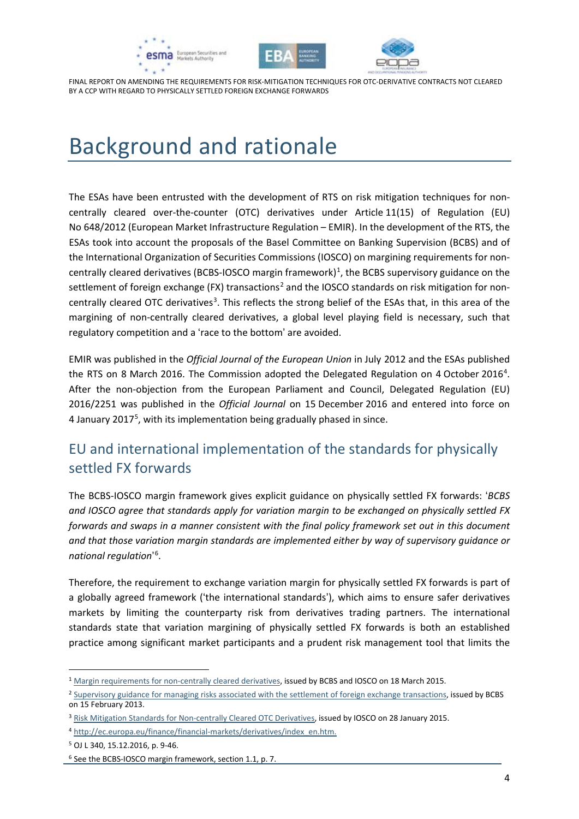





# <span id="page-3-0"></span>Background and rationale

The ESAs have been entrusted with the development of RTS on risk mitigation techniques for noncentrally cleared over-the-counter (OTC) derivatives under Article 11(15) of Regulation (EU) No 648/2012 (European Market Infrastructure Regulation – EMIR). In the development of the RTS, the ESAs took into account the proposals of the Basel Committee on Banking Supervision (BCBS) and of the International Organization of Securities Commissions (IOSCO) on margining requirements for non-centrally cleared derivatives (BCBS-IOSCO margin framework)<sup>[1](#page-3-1)</sup>, the BCBS supervisory guidance on the settlement of foreign exchange (FX) transactions<sup>[2](#page-3-2)</sup> and the IOSCO standards on risk mitigation for non-centrally cleared OTC derivatives<sup>[3](#page-3-3)</sup>. This reflects the strong belief of the ESAs that, in this area of the margining of non-centrally cleared derivatives, a global level playing field is necessary, such that regulatory competition and a 'race to the bottom' are avoided.

EMIR was published in the *Official Journal of the European Union* in July 2012 and the ESAs published the RTS on 8 March 2016. The Commission adopted the Delegated Regulation on [4](#page-3-4) October 2016<sup>4</sup>. After the non-objection from the European Parliament and Council, Delegated Regulation (EU) 2016/2251 was published in the *Official Journal* on 15 December 2016 and entered into force on 4 January 2017<sup>[5](#page-3-5)</sup>, with its implementation being gradually phased in since.

## EU and international implementation of the standards for physically settled FX forwards

The BCBS-IOSCO margin framework gives explicit guidance on physically settled FX forwards: '*BCBS and IOSCO agree that standards apply for variation margin to be exchanged on physically settled FX forwards and swaps in a manner consistent with the final policy framework set out in this document and that those variation margin standards are implemented either by way of supervisory guidance or national regulation*' [6](#page-3-6) .

Therefore, the requirement to exchange variation margin for physically settled FX forwards is part of a globally agreed framework ('the international standards'), which aims to ensure safer derivatives markets by limiting the counterparty risk from derivatives trading partners. The international standards state that variation margining of physically settled FX forwards is both an established practice among significant market participants and a prudent risk management tool that limits the

1

<span id="page-3-1"></span><sup>1</sup> [Margin requirements for non-centrally cleared derivatives,](http://www.bis.org/bcbs/publ/d317.htm) issued by BCBS and IOSCO on 18 March 2015.

<span id="page-3-2"></span><sup>&</sup>lt;sup>2</sup> [Supervisory guidance for managing risks associated with the settlement of foreign exchange transactions,](http://www.bis.org/publ/bcbs241.htm) issued by BCBS on 15 February 2013.

<span id="page-3-3"></span><sup>&</sup>lt;sup>3</sup> [Risk Mitigation Standards for Non-centrally Cleared OTC Derivatives,](http://www.iosco.org/library/pubdocs/pdf/IOSCOPD469.pdf) issued by IOSCO on 28 January 2015.

<span id="page-3-4"></span><sup>4</sup> [http://ec.europa.eu/finance/financial-markets/derivatives/index\\_en.htm.](http://ec.europa.eu/finance/financial-markets/derivatives/index_en.htm)

<span id="page-3-5"></span><sup>5</sup> OJ L 340, 15.12.2016, p. 9-46.

<span id="page-3-6"></span><sup>6</sup> See the BCBS-IOSCO margin framework, section 1.1, p. 7.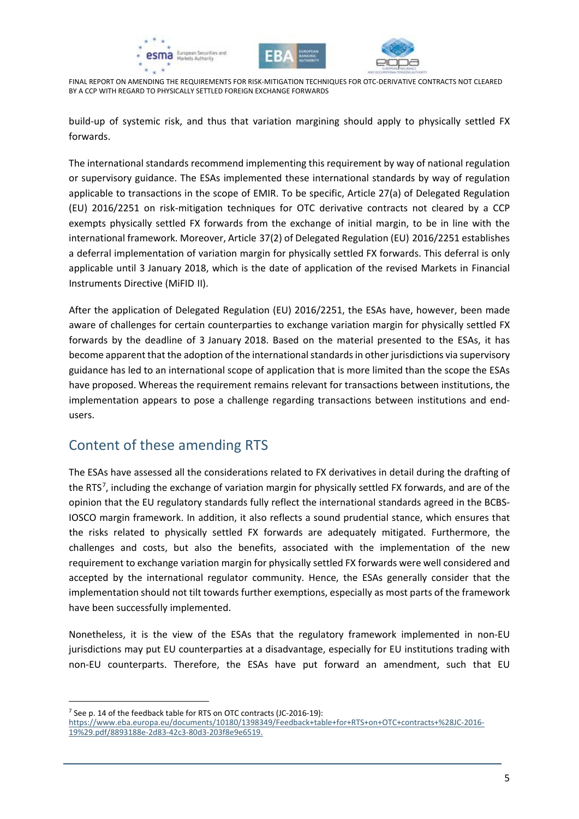





build-up of systemic risk, and thus that variation margining should apply to physically settled FX forwards.

The international standards recommend implementing this requirement by way of national regulation or supervisory guidance. The ESAs implemented these international standards by way of regulation applicable to transactions in the scope of EMIR. To be specific, Article 27(a) of Delegated Regulation (EU) 2016/2251 on risk-mitigation techniques for OTC derivative contracts not cleared by a CCP exempts physically settled FX forwards from the exchange of initial margin, to be in line with the international framework. Moreover, Article 37(2) of Delegated Regulation (EU) 2016/2251 establishes a deferral implementation of variation margin for physically settled FX forwards. This deferral is only applicable until 3 January 2018, which is the date of application of the revised Markets in Financial Instruments Directive (MiFID II).

After the application of Delegated Regulation (EU) 2016/2251, the ESAs have, however, been made aware of challenges for certain counterparties to exchange variation margin for physically settled FX forwards by the deadline of 3 January 2018. Based on the material presented to the ESAs, it has become apparent that the adoption of the international standards in other jurisdictions via supervisory guidance has led to an international scope of application that is more limited than the scope the ESAs have proposed. Whereas the requirement remains relevant for transactions between institutions, the implementation appears to pose a challenge regarding transactions between institutions and endusers.

## Content of these amending RTS

The ESAs have assessed all the considerations related to FX derivatives in detail during the drafting of the RTS<sup>[7](#page-4-0)</sup>, including the exchange of variation margin for physically settled FX forwards, and are of the opinion that the EU regulatory standards fully reflect the international standards agreed in the BCBS-IOSCO margin framework. In addition, it also reflects a sound prudential stance, which ensures that the risks related to physically settled FX forwards are adequately mitigated. Furthermore, the challenges and costs, but also the benefits, associated with the implementation of the new requirement to exchange variation margin for physically settled FX forwards were well considered and accepted by the international regulator community. Hence, the ESAs generally consider that the implementation should not tilt towards further exemptions, especially as most parts of the framework have been successfully implemented.

Nonetheless, it is the view of the ESAs that the regulatory framework implemented in non-EU jurisdictions may put EU counterparties at a disadvantage, especially for EU institutions trading with non-EU counterparts. Therefore, the ESAs have put forward an amendment, such that EU

1

<span id="page-4-0"></span><sup>7</sup> See p. 14 of the feedback table for RTS on OTC contracts (JC-2016-19):

[https://www.eba.europa.eu/documents/10180/1398349/Feedback+table+for+RTS+on+OTC+contracts+%28JC-2016-](https://www.eba.europa.eu/documents/10180/1398349/Feedback+table+for+RTS+on+OTC+contracts+%28JC-2016-19%29.pdf/8893188e-2d83-42c3-80d3-203f8e9e6519) [19%29.pdf/8893188e-2d83-42c3-80d3-203f8e9e6519.](https://www.eba.europa.eu/documents/10180/1398349/Feedback+table+for+RTS+on+OTC+contracts+%28JC-2016-19%29.pdf/8893188e-2d83-42c3-80d3-203f8e9e6519)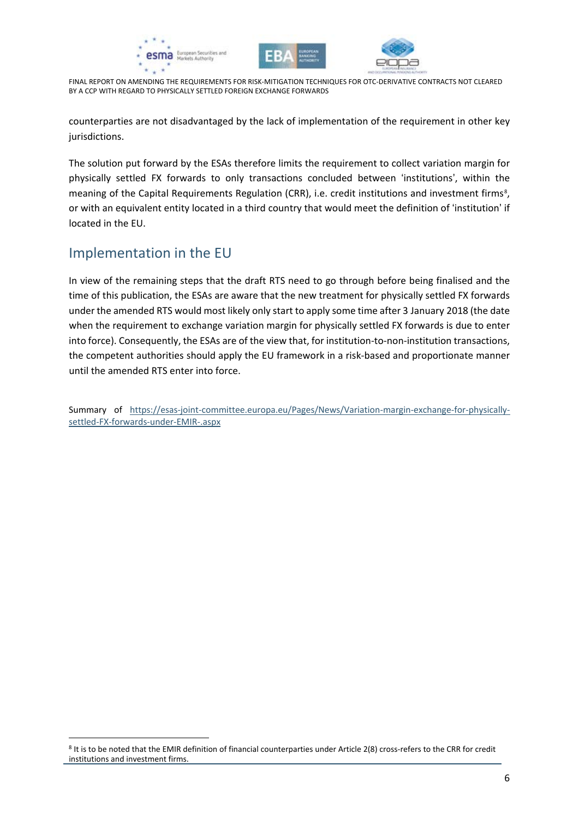





counterparties are not disadvantaged by the lack of implementation of the requirement in other key jurisdictions.

The solution put forward by the ESAs therefore limits the requirement to collect variation margin for physically settled FX forwards to only transactions concluded between 'institutions', within the meaning of the Capital Requirements Regulation (CRR), i.e. credit institutions and investment firms<sup>8</sup>, or with an equivalent entity located in a third country that would meet the definition of 'institution' if located in the EU.

### Implementation in the EU

1

In view of the remaining steps that the draft RTS need to go through before being finalised and the time of this publication, the ESAs are aware that the new treatment for physically settled FX forwards under the amended RTS would most likely only start to apply some time after 3 January 2018 (the date when the requirement to exchange variation margin for physically settled FX forwards is due to enter into force). Consequently, the ESAs are of the view that, for institution-to-non-institution transactions, the competent authorities should apply the EU framework in a risk-based and proportionate manner until the amended RTS enter into force.

Summary of [https://esas-joint-committee.europa.eu/Pages/News/Variation-margin-exchange-for-physically](https://esas-joint-committee.europa.eu/Pages/News/Variation-margin-exchange-for-physically-settled-FX-forwards-under-EMIR-.aspx)[settled-FX-forwards-under-EMIR-.aspx](https://esas-joint-committee.europa.eu/Pages/News/Variation-margin-exchange-for-physically-settled-FX-forwards-under-EMIR-.aspx)

<span id="page-5-0"></span><sup>8</sup> It is to be noted that the EMIR definition of financial counterparties under Article 2(8) cross-refers to the CRR for credit institutions and investment firms.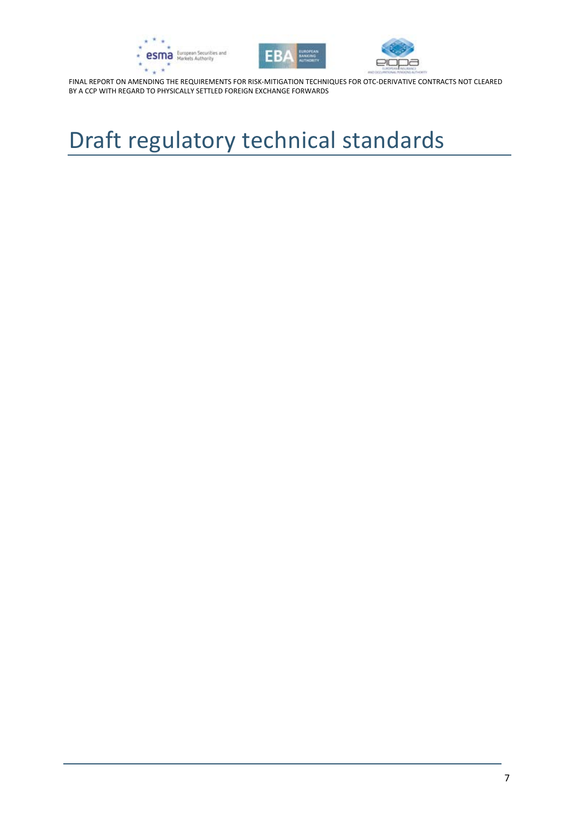





# <span id="page-6-0"></span>Draft regulatory technical standards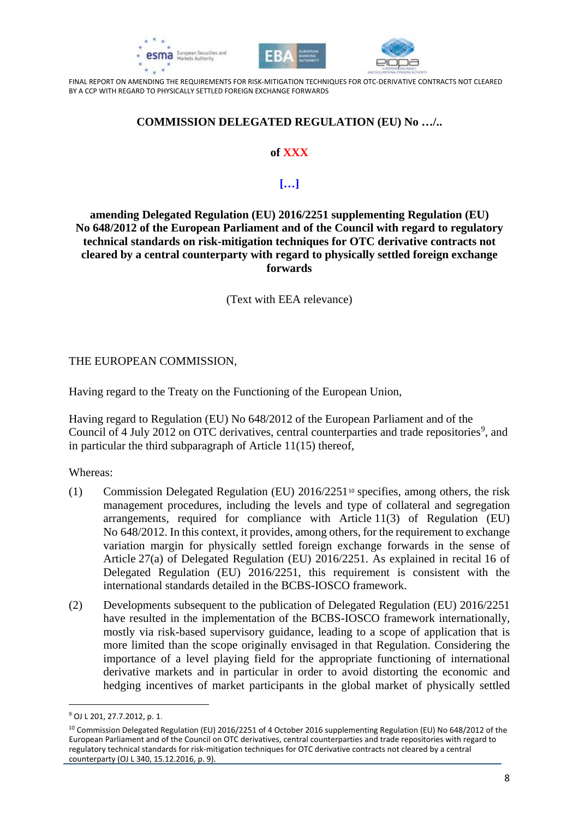





#### **COMMISSION DELEGATED REGULATION (EU) No …/..**

#### **of XXX**

#### **[…]**

**amending Delegated Regulation (EU) 2016/2251 supplementing Regulation (EU) No 648/2012 of the European Parliament and of the Council with regard to regulatory technical standards on risk-mitigation techniques for OTC derivative contracts not cleared by a central counterparty with regard to physically settled foreign exchange forwards**

(Text with EEA relevance)

#### THE EUROPEAN COMMISSION,

Having regard to the Treaty on the Functioning of the European Union,

Having regard to Regulation (EU) No 648/2012 of the European Parliament and of the Council of 4 July 2012 on OTC derivatives, central counterparties and trade repositories<sup>[9](#page-7-0)</sup>, and in particular the third subparagraph of Article 11(15) thereof,

Whereas:

- (1) Commission Delegated Regulation (EU) 2016/2251[10](#page-7-1) specifies, among others, the risk management procedures, including the levels and type of collateral and segregation arrangements, required for compliance with Article 11(3) of Regulation (EU) No 648/2012. In this context, it provides, among others, for the requirement to exchange variation margin for physically settled foreign exchange forwards in the sense of Article 27(a) of Delegated Regulation (EU) 2016/2251. As explained in recital 16 of Delegated Regulation (EU) 2016/2251, this requirement is consistent with the international standards detailed in the BCBS-IOSCO framework.
- (2) Developments subsequent to the publication of Delegated Regulation (EU) 2016/2251 have resulted in the implementation of the BCBS-IOSCO framework internationally, mostly via risk-based supervisory guidance, leading to a scope of application that is more limited than the scope originally envisaged in that Regulation. Considering the importance of a level playing field for the appropriate functioning of international derivative markets and in particular in order to avoid distorting the economic and hedging incentives of market participants in the global market of physically settled

1

<sup>9</sup> OJ L 201, 27.7.2012, p. 1.

<span id="page-7-1"></span><span id="page-7-0"></span><sup>&</sup>lt;sup>10</sup> Commission Delegated Regulation (EU) 2016/2251 of 4 October 2016 supplementing Regulation (EU) No 648/2012 of the European Parliament and of the Council on OTC derivatives, central counterparties and trade repositories with regard to regulatory technical standards for risk-mitigation techniques for OTC derivative contracts not cleared by a central counterparty (OJ L 340, 15.12.2016, p. 9).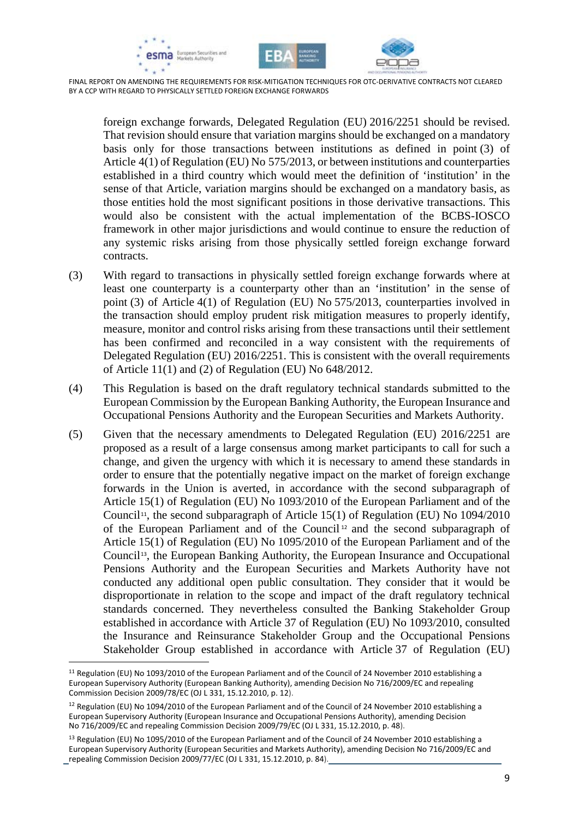





foreign exchange forwards, Delegated Regulation (EU) 2016/2251 should be revised. That revision should ensure that variation margins should be exchanged on a mandatory basis only for those transactions between institutions as defined in point (3) of Article 4(1) of Regulation (EU) No 575/2013, or between institutions and counterparties established in a third country which would meet the definition of 'institution' in the sense of that Article, variation margins should be exchanged on a mandatory basis, as those entities hold the most significant positions in those derivative transactions. This would also be consistent with the actual implementation of the BCBS-IOSCO framework in other major jurisdictions and would continue to ensure the reduction of any systemic risks arising from those physically settled foreign exchange forward contracts.

- (3) With regard to transactions in physically settled foreign exchange forwards where at least one counterparty is a counterparty other than an 'institution' in the sense of point (3) of Article 4(1) of Regulation (EU) No 575/2013, counterparties involved in the transaction should employ prudent risk mitigation measures to properly identify, measure, monitor and control risks arising from these transactions until their settlement has been confirmed and reconciled in a way consistent with the requirements of Delegated Regulation (EU) 2016/2251. This is consistent with the overall requirements of Article 11(1) and (2) of Regulation (EU) No 648/2012.
- (4) This Regulation is based on the draft regulatory technical standards submitted to the European Commission by the European Banking Authority, the European Insurance and Occupational Pensions Authority and the European Securities and Markets Authority.
- (5) Given that the necessary amendments to Delegated Regulation (EU) 2016/2251 are proposed as a result of a large consensus among market participants to call for such a change, and given the urgency with which it is necessary to amend these standards in order to ensure that the potentially negative impact on the market of foreign exchange forwards in the Union is averted, in accordance with the second subparagraph of Article 15(1) of Regulation (EU) No 1093/2010 of the European Parliament and of the Council<sup>[11](#page-8-0)</sup>, the second subparagraph of Article 15(1) of Regulation (EU) No  $1094/2010$ of the European Parliament and of the Council [12](#page-8-1) and the second subparagraph of Article 15(1) of Regulation (EU) No 1095/2010 of the European Parliament and of the Council<sup>[13](#page-8-2)</sup>, the European Banking Authority, the European Insurance and Occupational Pensions Authority and the European Securities and Markets Authority have not conducted any additional open public consultation. They consider that it would be disproportionate in relation to the scope and impact of the draft regulatory technical standards concerned. They nevertheless consulted the Banking Stakeholder Group established in accordance with Article 37 of Regulation (EU) No 1093/2010, consulted the Insurance and Reinsurance Stakeholder Group and the Occupational Pensions Stakeholder Group established in accordance with Article 37 of Regulation (EU)

<span id="page-8-0"></span><sup>&</sup>lt;sup>11</sup> Regulation (EU) No 1093/2010 of the European Parliament and of the Council of 24 November 2010 establishing a European Supervisory Authority (European Banking Authority), amending Decision No 716/2009/EC and repealing Commission Decision 2009/78/EC (OJ L 331, 15.12.2010, p. 12).

<span id="page-8-1"></span><sup>&</sup>lt;sup>12</sup> Regulation (EU) No 1094/2010 of the European Parliament and of the Council of 24 November 2010 establishing a European Supervisory Authority (European Insurance and Occupational Pensions Authority), amending Decision No 716/2009/EC and repealing Commission Decision 2009/79/EC (OJ L 331, 15.12.2010, p. 48).

<span id="page-8-2"></span><sup>&</sup>lt;sup>13</sup> Regulation (EU) No 1095/2010 of the European Parliament and of the Council of 24 November 2010 establishing a European Supervisory Authority (European Securities and Markets Authority), amending Decision No 716/2009/EC and repealing Commission Decision 2009/77/EC (OJ L 331, 15.12.2010, p. 84).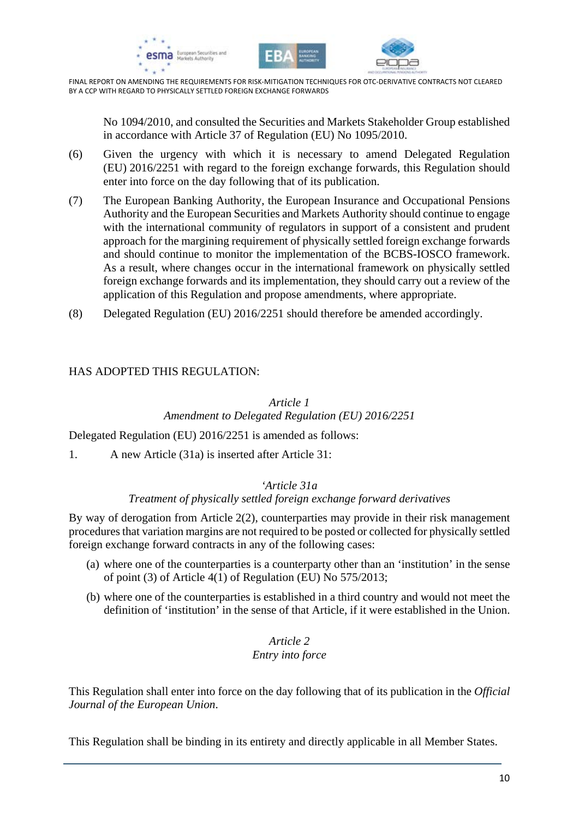





No 1094/2010, and consulted the Securities and Markets Stakeholder Group established in accordance with Article 37 of Regulation (EU) No 1095/2010.

- (6) Given the urgency with which it is necessary to amend Delegated Regulation (EU) 2016/2251 with regard to the foreign exchange forwards, this Regulation should enter into force on the day following that of its publication.
- (7) The European Banking Authority, the European Insurance and Occupational Pensions Authority and the European Securities and Markets Authority should continue to engage with the international community of regulators in support of a consistent and prudent approach for the margining requirement of physically settled foreign exchange forwards and should continue to monitor the implementation of the BCBS-IOSCO framework. As a result, where changes occur in the international framework on physically settled foreign exchange forwards and its implementation, they should carry out a review of the application of this Regulation and propose amendments, where appropriate.
- (8) Delegated Regulation (EU) 2016/2251 should therefore be amended accordingly.

#### HAS ADOPTED THIS REGULATION:

#### *Article 1 Amendment to Delegated Regulation (EU) 2016/2251*

Delegated Regulation (EU) 2016/2251 is amended as follows:

1. A new Article (31a) is inserted after Article 31:

#### *'Article 31a*

#### *Treatment of physically settled foreign exchange forward derivatives*

By way of derogation from Article 2(2), counterparties may provide in their risk management procedures that variation margins are not required to be posted or collected for physically settled foreign exchange forward contracts in any of the following cases:

- (a) where one of the counterparties is a counterparty other than an 'institution' in the sense of point (3) of Article 4(1) of Regulation (EU) No 575/2013;
- (b) where one of the counterparties is established in a third country and would not meet the definition of 'institution' in the sense of that Article, if it were established in the Union.

#### *Article 2 Entry into force*

This Regulation shall enter into force on the day following that of its publication in the *Official Journal of the European Union*.

This Regulation shall be binding in its entirety and directly applicable in all Member States.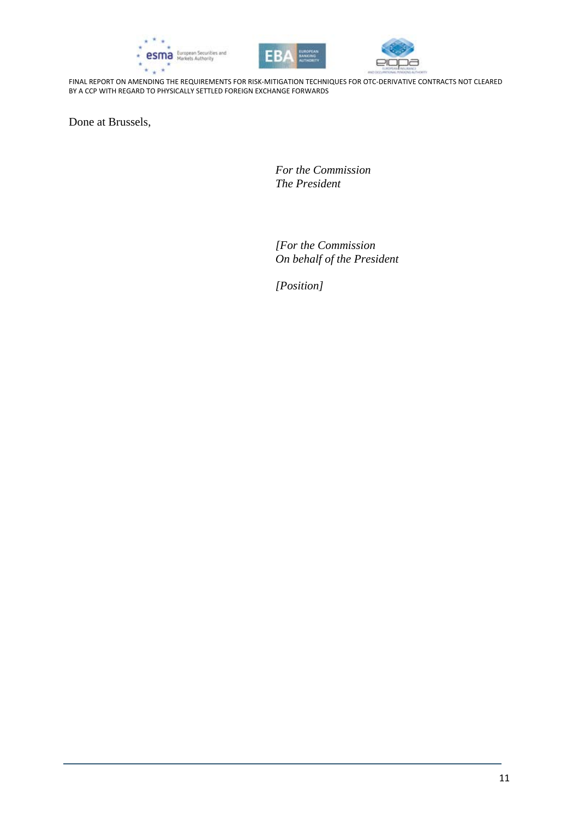





Done at Brussels,

*For the Commission The President*

*[For the Commission On behalf of the President*

*[Position]*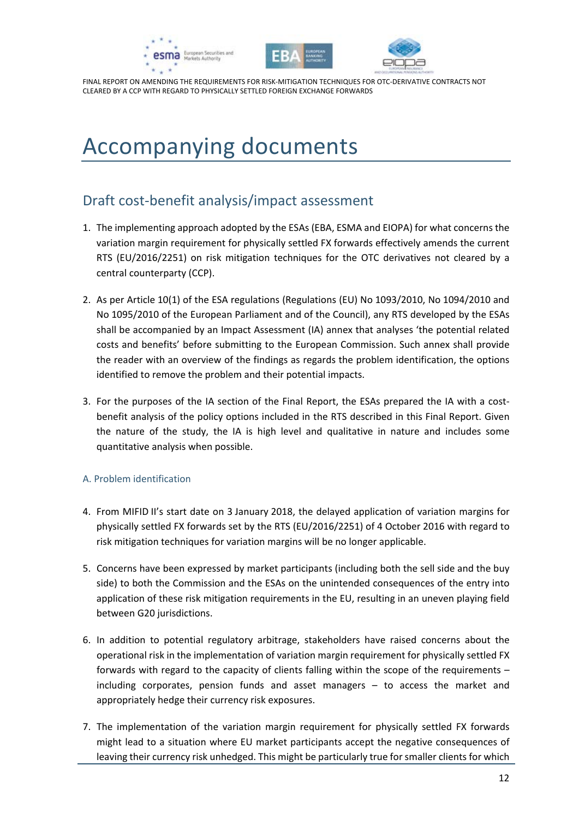





# <span id="page-11-0"></span>Accompanying documents

## <span id="page-11-1"></span>Draft cost-benefit analysis/impact assessment

- 1. The implementing approach adopted by the ESAs (EBA, ESMA and EIOPA) for what concerns the variation margin requirement for physically settled FX forwards effectively amends the current RTS (EU/2016/2251) on risk mitigation techniques for the OTC derivatives not cleared by a central counterparty (CCP).
- 2. As per Article 10(1) of the ESA regulations (Regulations (EU) No 1093/2010, No 1094/2010 and No 1095/2010 of the European Parliament and of the Council), any RTS developed by the ESAs shall be accompanied by an Impact Assessment (IA) annex that analyses 'the potential related costs and benefits' before submitting to the European Commission. Such annex shall provide the reader with an overview of the findings as regards the problem identification, the options identified to remove the problem and their potential impacts.
- 3. For the purposes of the IA section of the Final Report, the ESAs prepared the IA with a costbenefit analysis of the policy options included in the RTS described in this Final Report. Given the nature of the study, the IA is high level and qualitative in nature and includes some quantitative analysis when possible.

#### A. Problem identification

- 4. From MIFID II's start date on 3 January 2018, the delayed application of variation margins for physically settled FX forwards set by the RTS (EU/2016/2251) of 4 October 2016 with regard to risk mitigation techniques for variation margins will be no longer applicable.
- 5. Concerns have been expressed by market participants (including both the sell side and the buy side) to both the Commission and the ESAs on the unintended consequences of the entry into application of these risk mitigation requirements in the EU, resulting in an uneven playing field between G20 jurisdictions.
- 6. In addition to potential regulatory arbitrage, stakeholders have raised concerns about the operational risk in the implementation of variation margin requirement for physically settled FX forwards with regard to the capacity of clients falling within the scope of the requirements – including corporates, pension funds and asset managers – to access the market and appropriately hedge their currency risk exposures.
- 7. The implementation of the variation margin requirement for physically settled FX forwards might lead to a situation where EU market participants accept the negative consequences of leaving their currency risk unhedged. This might be particularly true for smaller clients for which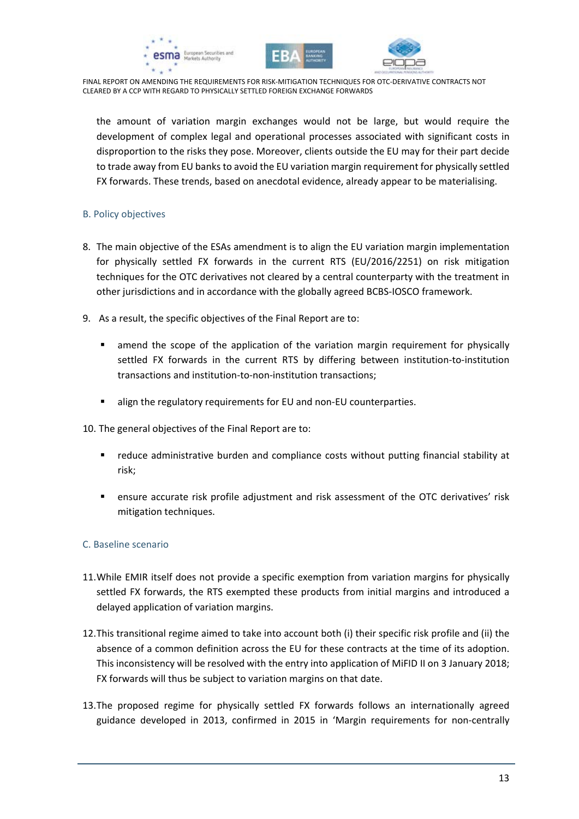





the amount of variation margin exchanges would not be large, but would require the development of complex legal and operational processes associated with significant costs in disproportion to the risks they pose. Moreover, clients outside the EU may for their part decide to trade away from EU banks to avoid the EU variation margin requirement for physically settled FX forwards. These trends, based on anecdotal evidence, already appear to be materialising.

#### B. Policy objectives

- 8. The main objective of the ESAs amendment is to align the EU variation margin implementation for physically settled FX forwards in the current RTS (EU/2016/2251) on risk mitigation techniques for the OTC derivatives not cleared by a central counterparty with the treatment in other jurisdictions and in accordance with the globally agreed BCBS-IOSCO framework.
- 9. As a result, the specific objectives of the Final Report are to:
	- amend the scope of the application of the variation margin requirement for physically settled FX forwards in the current RTS by differing between institution-to-institution transactions and institution-to-non-institution transactions;
	- align the regulatory requirements for EU and non-EU counterparties.
- 10. The general objectives of the Final Report are to:
	- reduce administrative burden and compliance costs without putting financial stability at risk;
	- ensure accurate risk profile adjustment and risk assessment of the OTC derivatives' risk mitigation techniques.

#### C. Baseline scenario

- 11.While EMIR itself does not provide a specific exemption from variation margins for physically settled FX forwards, the RTS exempted these products from initial margins and introduced a delayed application of variation margins.
- 12.This transitional regime aimed to take into account both (i) their specific risk profile and (ii) the absence of a common definition across the EU for these contracts at the time of its adoption. This inconsistency will be resolved with the entry into application of MiFID II on 3 January 2018; FX forwards will thus be subject to variation margins on that date.
- 13.The proposed regime for physically settled FX forwards follows an internationally agreed guidance developed in 2013, confirmed in 2015 in 'Margin requirements for non-centrally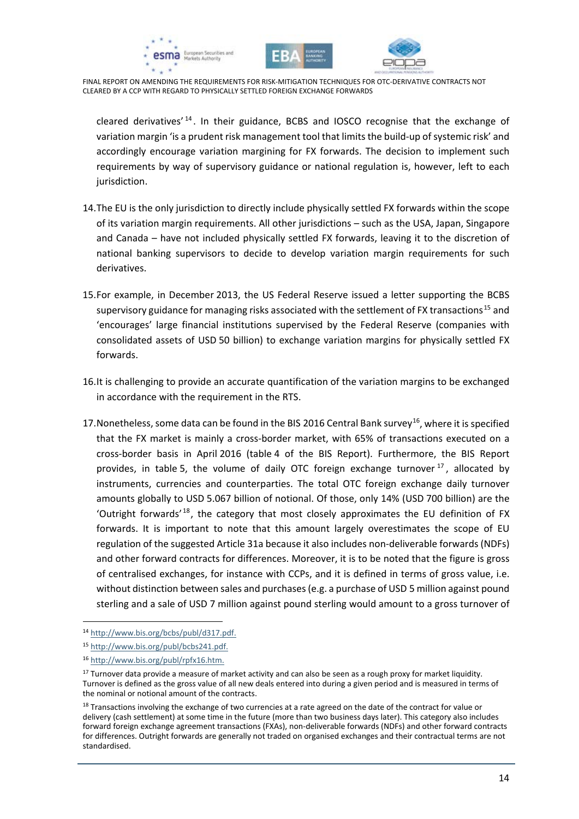





cleared derivatives<sup>' [14](#page-13-0)</sup>. In their guidance, BCBS and IOSCO recognise that the exchange of variation margin 'is a prudent risk management tool that limits the build-up of systemic risk' and accordingly encourage variation margining for FX forwards. The decision to implement such requirements by way of supervisory guidance or national regulation is, however, left to each jurisdiction.

- 14.The EU is the only jurisdiction to directly include physically settled FX forwards within the scope of its variation margin requirements. All other jurisdictions – such as the USA, Japan, Singapore and Canada – have not included physically settled FX forwards, leaving it to the discretion of national banking supervisors to decide to develop variation margin requirements for such derivatives.
- 15.For example, in December 2013, the US Federal Reserve issued a letter supporting the BCBS supervisory guidance for managing risks associated with the settlement of FX transactions<sup>[15](#page-13-1)</sup> and 'encourages' large financial institutions supervised by the Federal Reserve (companies with consolidated assets of USD 50 billion) to exchange variation margins for physically settled FX forwards.
- 16.It is challenging to provide an accurate quantification of the variation margins to be exchanged in accordance with the requirement in the RTS.
- 17. Nonetheless, some data can be found in the BIS 2016 Central Bank survey<sup>16</sup>, where it is specified that the FX market is mainly a cross-border market, with 65% of transactions executed on a cross-border basis in April 2016 (table 4 of the BIS Report). Furthermore, the BIS Report provides, in table 5, the volume of daily OTC foreign exchange turnover  $17$ , allocated by instruments, currencies and counterparties. The total OTC foreign exchange daily turnover amounts globally to USD 5.067 billion of notional. Of those, only 14% (USD 700 billion) are the 'Outright forwards<sup>'[18](#page-13-4)</sup>, the category that most closely approximates the EU definition of FX forwards. It is important to note that this amount largely overestimates the scope of EU regulation of the suggested Article 31a because it also includes non-deliverable forwards (NDFs) and other forward contracts for differences. Moreover, it is to be noted that the figure is gross of centralised exchanges, for instance with CCPs, and it is defined in terms of gross value, i.e. without distinction between sales and purchases (e.g. a purchase of USD 5 million against pound sterling and a sale of USD 7 million against pound sterling would amount to a gross turnover of

 $\overline{a}$ 

<span id="page-13-0"></span><sup>14</sup> [http://www.bis.org/bcbs/publ/d317.pdf.](http://www.bis.org/bcbs/publ/d317.pdf) 

<span id="page-13-1"></span><sup>15</sup> [http://www.bis.org/publ/bcbs241.pdf.](http://www.bis.org/publ/bcbs241.pdf)

<span id="page-13-2"></span><sup>16</sup> [http://www.bis.org/publ/rpfx16.htm.](http://www.bis.org/publ/rpfx16.htm)

<span id="page-13-3"></span><sup>&</sup>lt;sup>17</sup> Turnover data provide a measure of market activity and can also be seen as a rough proxy for market liquidity. Turnover is defined as the gross value of all new deals entered into during a given period and is measured in terms of the nominal or notional amount of the contracts.

<span id="page-13-4"></span><sup>&</sup>lt;sup>18</sup> Transactions involving the exchange of two currencies at a rate agreed on the date of the contract for value or delivery (cash settlement) at some time in the future (more than two business days later). This category also includes forward foreign exchange agreement transactions (FXAs), non-deliverable forwards (NDFs) and other forward contracts for differences. Outright forwards are generally not traded on organised exchanges and their contractual terms are not standardised.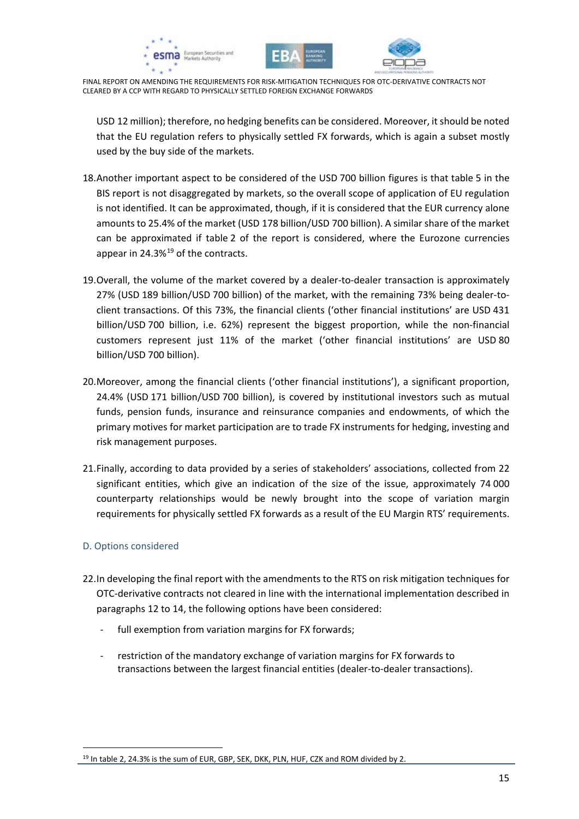





USD 12 million); therefore, no hedging benefits can be considered. Moreover, it should be noted that the EU regulation refers to physically settled FX forwards, which is again a subset mostly used by the buy side of the markets.

- 18.Another important aspect to be considered of the USD 700 billion figures is that table 5 in the BIS report is not disaggregated by markets, so the overall scope of application of EU regulation is not identified. It can be approximated, though, if it is considered that the EUR currency alone amounts to 25.4% of the market (USD 178 billion/USD 700 billion). A similar share of the market can be approximated if table 2 of the report is considered, where the Eurozone currencies appear in  $24.3\%$ <sup>[19](#page-14-0)</sup> of the contracts.
- 19.Overall, the volume of the market covered by a dealer-to-dealer transaction is approximately 27% (USD 189 billion/USD 700 billion) of the market, with the remaining 73% being dealer-toclient transactions. Of this 73%, the financial clients ('other financial institutions' are USD 431 billion/USD 700 billion, i.e. 62%) represent the biggest proportion, while the non-financial customers represent just 11% of the market ('other financial institutions' are USD 80 billion/USD 700 billion).
- 20.Moreover, among the financial clients ('other financial institutions'), a significant proportion, 24.4% (USD 171 billion/USD 700 billion), is covered by institutional investors such as mutual funds, pension funds, insurance and reinsurance companies and endowments, of which the primary motives for market participation are to trade FX instruments for hedging, investing and risk management purposes.
- 21.Finally, according to data provided by a series of stakeholders' associations, collected from 22 significant entities, which give an indication of the size of the issue, approximately 74 000 counterparty relationships would be newly brought into the scope of variation margin requirements for physically settled FX forwards as a result of the EU Margin RTS' requirements.

#### D. Options considered

 $\overline{a}$ 

- 22.In developing the final report with the amendments to the RTS on risk mitigation techniques for OTC-derivative contracts not cleared in line with the international implementation described in paragraphs 12 to 14, the following options have been considered:
	- full exemption from variation margins for FX forwards;
	- restriction of the mandatory exchange of variation margins for FX forwards to transactions between the largest financial entities (dealer-to-dealer transactions).

<span id="page-14-0"></span><sup>&</sup>lt;sup>19</sup> In table 2, 24.3% is the sum of EUR, GBP, SEK, DKK, PLN, HUF, CZK and ROM divided by 2.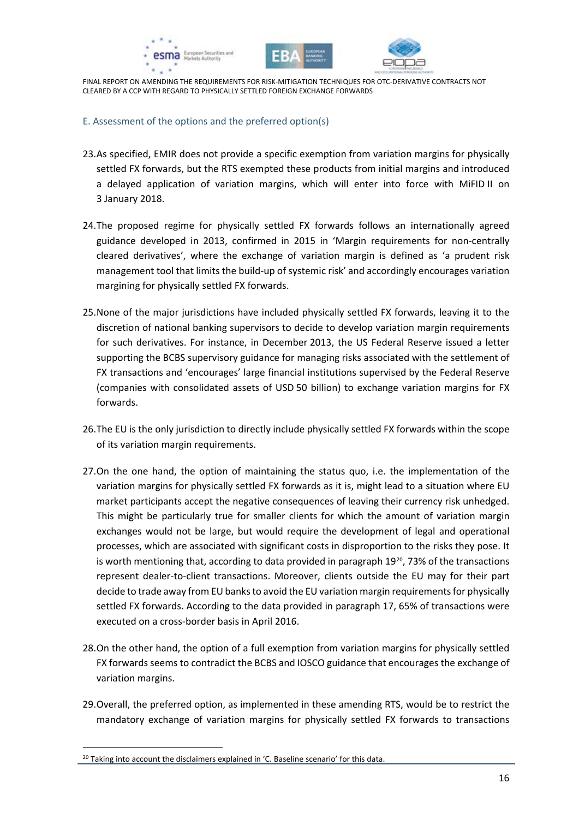





#### E. Assessment of the options and the preferred option(s)

- 23.As specified, EMIR does not provide a specific exemption from variation margins for physically settled FX forwards, but the RTS exempted these products from initial margins and introduced a delayed application of variation margins, which will enter into force with MiFID II on 3 January 2018.
- 24.The proposed regime for physically settled FX forwards follows an internationally agreed guidance developed in 2013, confirmed in 2015 in 'Margin requirements for non-centrally cleared derivatives', where the exchange of variation margin is defined as 'a prudent risk management tool that limits the build-up of systemic risk' and accordingly encourages variation margining for physically settled FX forwards.
- 25.None of the major jurisdictions have included physically settled FX forwards, leaving it to the discretion of national banking supervisors to decide to develop variation margin requirements for such derivatives. For instance, in December 2013, the US Federal Reserve issued a letter supporting the BCBS supervisory guidance for managing risks associated with the settlement of FX transactions and 'encourages' large financial institutions supervised by the Federal Reserve (companies with consolidated assets of USD 50 billion) to exchange variation margins for FX forwards.
- 26.The EU is the only jurisdiction to directly include physically settled FX forwards within the scope of its variation margin requirements.
- 27.On the one hand, the option of maintaining the status quo, i.e. the implementation of the variation margins for physically settled FX forwards as it is, might lead to a situation where EU market participants accept the negative consequences of leaving their currency risk unhedged. This might be particularly true for smaller clients for which the amount of variation margin exchanges would not be large, but would require the development of legal and operational processes, which are associated with significant costs in disproportion to the risks they pose. It is worth mentioning that, according to data provided in paragraph  $19^{20}$  $19^{20}$  $19^{20}$ , 73% of the transactions represent dealer-to-client transactions. Moreover, clients outside the EU may for their part decide to trade away from EU banks to avoid the EU variation margin requirements for physically settled FX forwards. According to the data provided in paragraph 17, 65% of transactions were executed on a cross-border basis in April 2016.
- 28.On the other hand, the option of a full exemption from variation margins for physically settled FX forwards seems to contradict the BCBS and IOSCO guidance that encourages the exchange of variation margins.
- 29.Overall, the preferred option, as implemented in these amending RTS, would be to restrict the mandatory exchange of variation margins for physically settled FX forwards to transactions

 $\overline{a}$ 

<span id="page-15-0"></span><sup>&</sup>lt;sup>20</sup> Taking into account the disclaimers explained in 'C. Baseline scenario' for this data.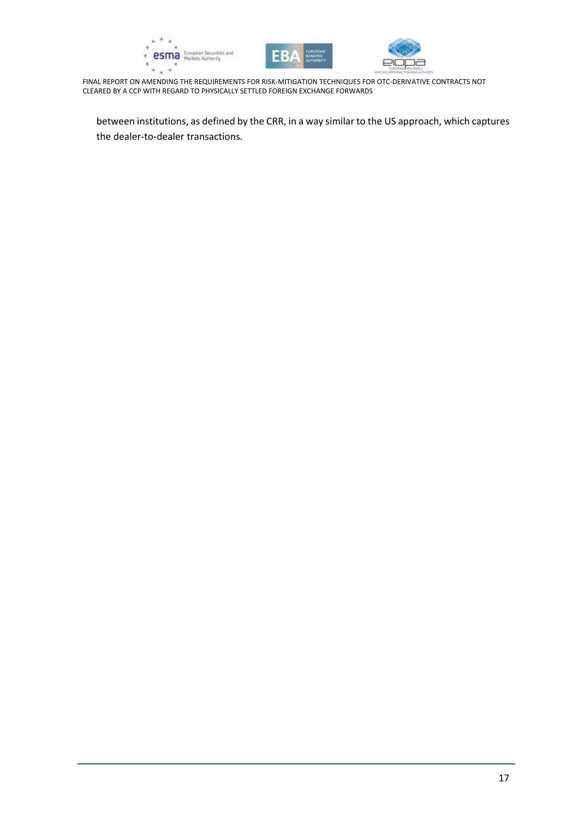





between institutions, as defined by the CRR, in a way similar to the US approach, which captures the dealer-to-dealer transactions.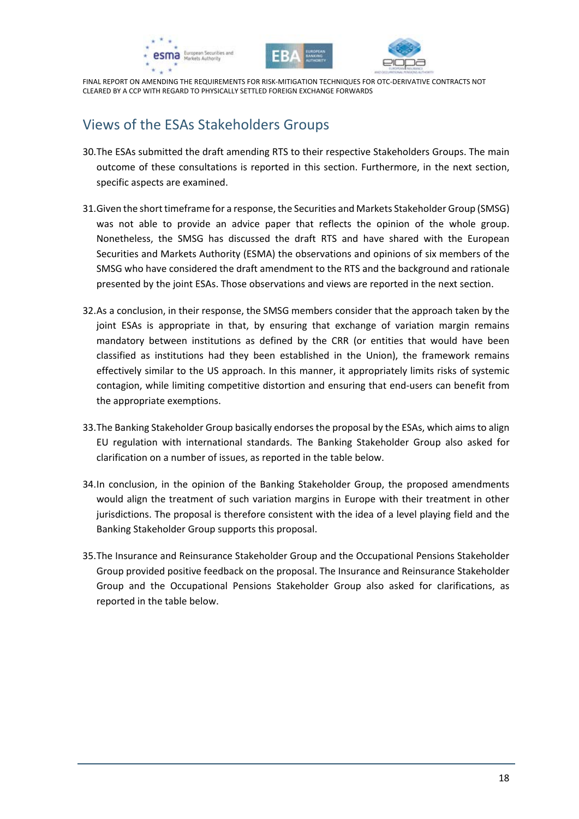





## <span id="page-17-0"></span>Views of the ESAs Stakeholders Groups

- 30.The ESAs submitted the draft amending RTS to their respective Stakeholders Groups. The main outcome of these consultations is reported in this section. Furthermore, in the next section, specific aspects are examined.
- 31.Given the short timeframe for a response, the Securities and Markets Stakeholder Group (SMSG) was not able to provide an advice paper that reflects the opinion of the whole group. Nonetheless, the SMSG has discussed the draft RTS and have shared with the European Securities and Markets Authority (ESMA) the observations and opinions of six members of the SMSG who have considered the draft amendment to the RTS and the background and rationale presented by the joint ESAs. Those observations and views are reported in the next section.
- 32.As a conclusion, in their response, the SMSG members consider that the approach taken by the joint ESAs is appropriate in that, by ensuring that exchange of variation margin remains mandatory between institutions as defined by the CRR (or entities that would have been classified as institutions had they been established in the Union), the framework remains effectively similar to the US approach. In this manner, it appropriately limits risks of systemic contagion, while limiting competitive distortion and ensuring that end-users can benefit from the appropriate exemptions.
- 33.The Banking Stakeholder Group basically endorses the proposal by the ESAs, which aims to align EU regulation with international standards. The Banking Stakeholder Group also asked for clarification on a number of issues, as reported in the table below.
- 34.In conclusion, in the opinion of the Banking Stakeholder Group, the proposed amendments would align the treatment of such variation margins in Europe with their treatment in other jurisdictions. The proposal is therefore consistent with the idea of a level playing field and the Banking Stakeholder Group supports this proposal.
- 35.The Insurance and Reinsurance Stakeholder Group and the Occupational Pensions Stakeholder Group provided positive feedback on the proposal. The Insurance and Reinsurance Stakeholder Group and the Occupational Pensions Stakeholder Group also asked for clarifications, as reported in the table below.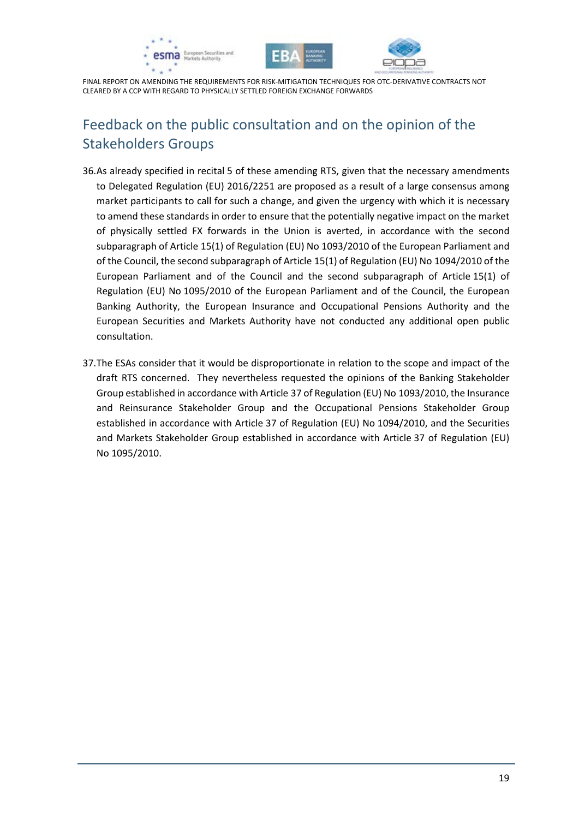





## <span id="page-18-0"></span>Feedback on the public consultation and on the opinion of the Stakeholders Groups

- 36.As already specified in recital 5 of these amending RTS, given that the necessary amendments to Delegated Regulation (EU) 2016/2251 are proposed as a result of a large consensus among market participants to call for such a change, and given the urgency with which it is necessary to amend these standards in order to ensure that the potentially negative impact on the market of physically settled FX forwards in the Union is averted, in accordance with the second subparagraph of Article 15(1) of Regulation (EU) No 1093/2010 of the European Parliament and of the Council, the second subparagraph of Article 15(1) of Regulation (EU) No 1094/2010 of the European Parliament and of the Council and the second subparagraph of Article 15(1) of Regulation (EU) No 1095/2010 of the European Parliament and of the Council, the European Banking Authority, the European Insurance and Occupational Pensions Authority and the European Securities and Markets Authority have not conducted any additional open public consultation.
- 37.The ESAs consider that it would be disproportionate in relation to the scope and impact of the draft RTS concerned. They nevertheless requested the opinions of the Banking Stakeholder Group established in accordance with Article 37 of Regulation (EU) No 1093/2010, the Insurance and Reinsurance Stakeholder Group and the Occupational Pensions Stakeholder Group established in accordance with Article 37 of Regulation (EU) No 1094/2010, and the Securities and Markets Stakeholder Group established in accordance with Article 37 of Regulation (EU) No 1095/2010.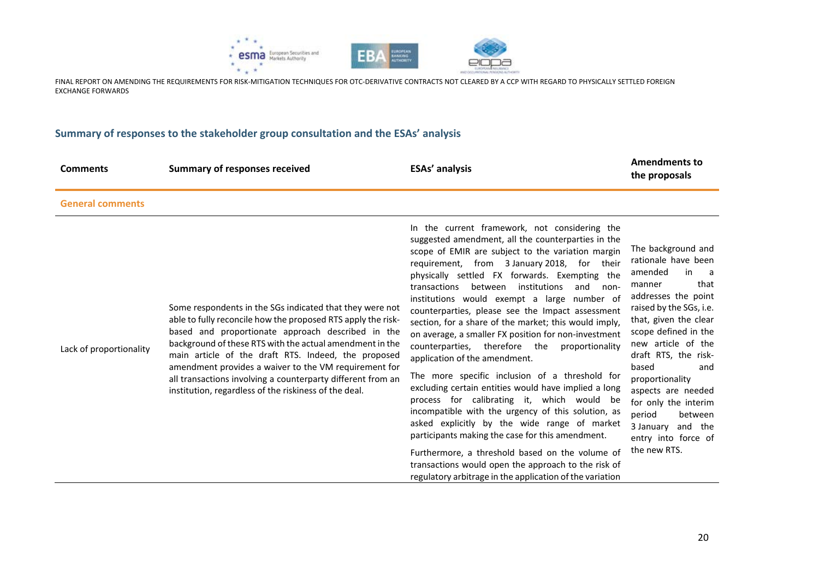

#### **Summary of responses to the stakeholder group consultation and the ESAs' analysis**

| <b>Comments</b>         | <b>Summary of responses received</b>                                                                                                                                                                                                                                                                                                                                                                                                                                              | <b>ESAs' analysis</b>                                                                                                                                                                                                                                                                                                                                                                                                                                                                                                                                                                                                                                                                                                                                                                                                                                                                                                                                                                                                                                                                                               | <b>Amendments to</b><br>the proposals                                                                                                                                                                                                                                                                                                                                                                     |
|-------------------------|-----------------------------------------------------------------------------------------------------------------------------------------------------------------------------------------------------------------------------------------------------------------------------------------------------------------------------------------------------------------------------------------------------------------------------------------------------------------------------------|---------------------------------------------------------------------------------------------------------------------------------------------------------------------------------------------------------------------------------------------------------------------------------------------------------------------------------------------------------------------------------------------------------------------------------------------------------------------------------------------------------------------------------------------------------------------------------------------------------------------------------------------------------------------------------------------------------------------------------------------------------------------------------------------------------------------------------------------------------------------------------------------------------------------------------------------------------------------------------------------------------------------------------------------------------------------------------------------------------------------|-----------------------------------------------------------------------------------------------------------------------------------------------------------------------------------------------------------------------------------------------------------------------------------------------------------------------------------------------------------------------------------------------------------|
| <b>General comments</b> |                                                                                                                                                                                                                                                                                                                                                                                                                                                                                   |                                                                                                                                                                                                                                                                                                                                                                                                                                                                                                                                                                                                                                                                                                                                                                                                                                                                                                                                                                                                                                                                                                                     |                                                                                                                                                                                                                                                                                                                                                                                                           |
| Lack of proportionality | Some respondents in the SGs indicated that they were not<br>able to fully reconcile how the proposed RTS apply the risk-<br>based and proportionate approach described in the<br>background of these RTS with the actual amendment in the<br>main article of the draft RTS. Indeed, the proposed<br>amendment provides a waiver to the VM requirement for<br>all transactions involving a counterparty different from an<br>institution, regardless of the riskiness of the deal. | In the current framework, not considering the<br>suggested amendment, all the counterparties in the<br>scope of EMIR are subject to the variation margin<br>requirement, from 3 January 2018, for their<br>physically settled FX forwards. Exempting the<br>between<br>institutions<br>transactions<br>and<br>non-<br>institutions would exempt a large number of<br>counterparties, please see the Impact assessment<br>section, for a share of the market; this would imply,<br>on average, a smaller FX position for non-investment<br>counterparties, therefore the<br>proportionality<br>application of the amendment.<br>The more specific inclusion of a threshold for<br>excluding certain entities would have implied a long<br>process for calibrating it, which would be<br>incompatible with the urgency of this solution, as<br>asked explicitly by the wide range of market<br>participants making the case for this amendment.<br>Furthermore, a threshold based on the volume of<br>transactions would open the approach to the risk of<br>regulatory arbitrage in the application of the variation | The background and<br>rationale have been<br>amended<br>in<br>- a<br>that<br>manner<br>addresses the point<br>raised by the SGs, i.e.<br>that, given the clear<br>scope defined in the<br>new article of the<br>draft RTS, the risk-<br>based<br>and<br>proportionality<br>aspects are needed<br>for only the interim<br>period<br>between<br>3 January<br>and the<br>entry into force of<br>the new RTS. |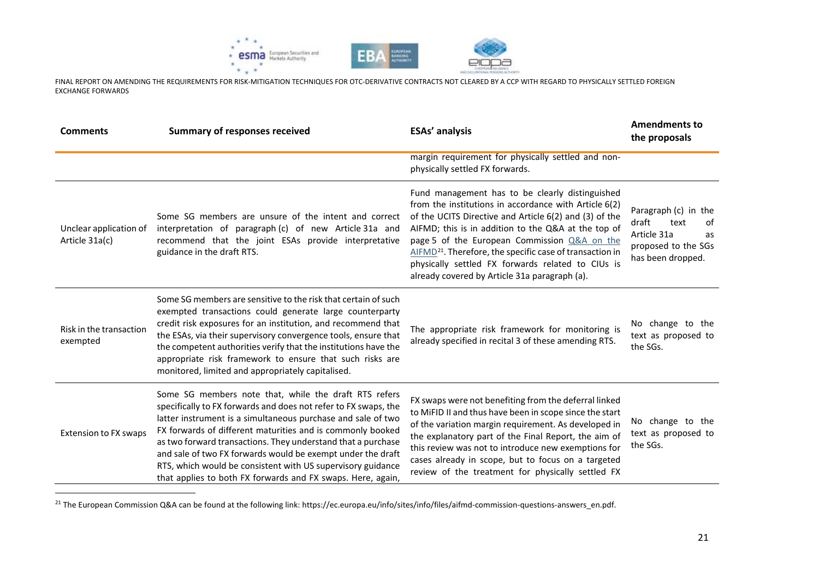

<span id="page-20-0"></span>

| <b>Comments</b>                          | <b>Summary of responses received</b>                                                                                                                                                                                                                                                                                                                                                                                                                                                                                | <b>ESAs' analysis</b>                                                                                                                                                                                                                                                                                                                                                                                                                                   | <b>Amendments to</b><br>the proposals                                                                        |
|------------------------------------------|---------------------------------------------------------------------------------------------------------------------------------------------------------------------------------------------------------------------------------------------------------------------------------------------------------------------------------------------------------------------------------------------------------------------------------------------------------------------------------------------------------------------|---------------------------------------------------------------------------------------------------------------------------------------------------------------------------------------------------------------------------------------------------------------------------------------------------------------------------------------------------------------------------------------------------------------------------------------------------------|--------------------------------------------------------------------------------------------------------------|
|                                          |                                                                                                                                                                                                                                                                                                                                                                                                                                                                                                                     | margin requirement for physically settled and non-<br>physically settled FX forwards.                                                                                                                                                                                                                                                                                                                                                                   |                                                                                                              |
| Unclear application of<br>Article 31a(c) | Some SG members are unsure of the intent and correct<br>interpretation of paragraph (c) of new Article 31a and<br>recommend that the joint ESAs provide interpretative<br>guidance in the draft RTS.                                                                                                                                                                                                                                                                                                                | Fund management has to be clearly distinguished<br>from the institutions in accordance with Article 6(2)<br>of the UCITS Directive and Article 6(2) and (3) of the<br>AIFMD; this is in addition to the Q&A at the top of<br>page 5 of the European Commission Q&A on the<br>AIFMD <sup>21</sup> . Therefore, the specific case of transaction in<br>physically settled FX forwards related to CIUs is<br>already covered by Article 31a paragraph (a). | Paragraph (c) in the<br>draft<br>text<br>of<br>Article 31a<br>as<br>proposed to the SGs<br>has been dropped. |
| Risk in the transaction<br>exempted      | Some SG members are sensitive to the risk that certain of such<br>exempted transactions could generate large counterparty<br>credit risk exposures for an institution, and recommend that<br>the ESAs, via their supervisory convergence tools, ensure that<br>the competent authorities verify that the institutions have the<br>appropriate risk framework to ensure that such risks are<br>monitored, limited and appropriately capitalised.                                                                     | The appropriate risk framework for monitoring is<br>already specified in recital 3 of these amending RTS.                                                                                                                                                                                                                                                                                                                                               | No change to the<br>text as proposed to<br>the SGs.                                                          |
| <b>Extension to FX swaps</b>             | Some SG members note that, while the draft RTS refers<br>specifically to FX forwards and does not refer to FX swaps, the<br>latter instrument is a simultaneous purchase and sale of two<br>FX forwards of different maturities and is commonly booked<br>as two forward transactions. They understand that a purchase<br>and sale of two FX forwards would be exempt under the draft<br>RTS, which would be consistent with US supervisory guidance<br>that applies to both FX forwards and FX swaps. Here, again, | FX swaps were not benefiting from the deferral linked<br>to MiFID II and thus have been in scope since the start<br>of the variation margin requirement. As developed in<br>the explanatory part of the Final Report, the aim of<br>this review was not to introduce new exemptions for<br>cases already in scope, but to focus on a targeted<br>review of the treatment for physically settled FX                                                      | No change to the<br>text as proposed to<br>the SGs.                                                          |

<sup>&</sup>lt;sup>21</sup> The European Commission Q&A can be found at the following link: https://ec.europa.eu/info/sites/info/files/aifmd-commission-questions-answers\_en.pdf.